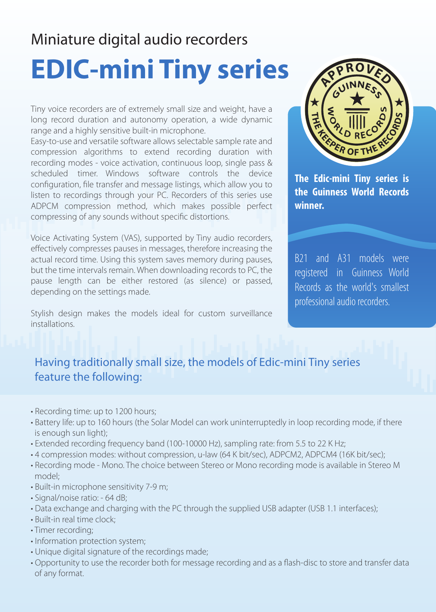## Miniature digital audio recorders

## **EDIC-mini Tiny series**

Tiny voice recorders are of extremely small size and weight, have a long record duration and autonomy operation, a wide dynamic range and a highly sensitive built-in microphone.

Easy-to-use and versatile software allows selectable sample rate and compression algorithms to extend recording duration with recording modes - voice activation, continuous loop, single pass & scheduled timer. Windows software controls the device configuration, file transfer and message listings, which allow you to listen to recordings through your PC. Recorders of this series use ADPCM compression method, which makes possible perfect compressing of any sounds without specific distortions.

Voice Activating System (VAS), supported by Tiny audio recorders, effectively compresses pauses in messages, therefore increasing the actual record time. Using this system saves memory during pauses, but the time intervals remain. When downloading records to PC, the pause length can be either restored (as silence) or passed, depending on the settings made.

Stylish design makes the models ideal for custom surveillance **installations** 



**The Edic-mini Tiny series is the Guinness World Records winner.**

B21 and A31 models were registered in Guinness World Records as the world's smallest professional audio recorders.

## Having traditionally small size, the models of Edic-mini Tiny series feature the following:

- Recording time: up to 1200 hours;
- Battery life: up to 160 hours (the Solar Model can work uninterruptedly in loop recording mode, if there is enough sun light);
- Extended recording frequency band (100-10000 Hz), sampling rate: from 5.5 to 22 K Hz;
- 4 compression modes: without compression, u-law (64 K bit/sec), ADPCM2, ADPCM4 (16K bit/sec);
- Recording mode Mono. The choice between Stereo or Mono recording mode is available in Stereo M model;
- Built-in microphone sensitivity 7-9 m;
- Signal/noise ratio: 64 dB;
- Data exchange and charging with the PC through the supplied USB adapter (USB 1.1 interfaces);
- Built-in real time clock;
- Timer recording;
- Information protection system;
- Unique digital signature of the recordings made;
- Opportunity to use the recorder both for message recording and as a flash-disc to store and transfer data of any format.